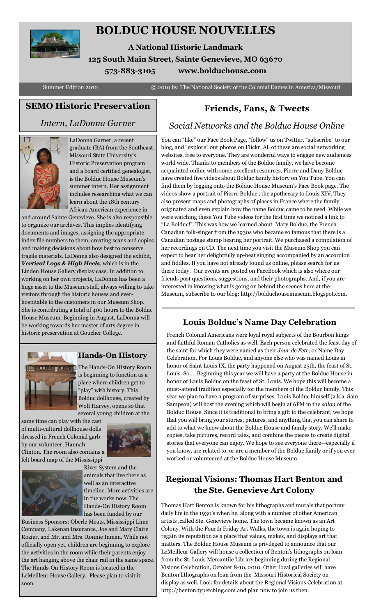

# **BOLDUC HOUSE NOUVELLES**

**A National Historic Landmark 125 South Main Street, Sainte Genevieve, MO 63670 573-883-3105 www.bolduchouse.com**

Summer Edition 2010 © 2010 by The National Society of the Colonial Dames in America/Missouri

## **SEMO Historic Preservation**

### *Intern, LaDonna Garner*



LaDonna Garner, a recent graduate (BA) from the Southeast Missouri State University's Historic Preservation program and a board certified genealogist, is the Bolduc House Museum's summer intern. Her assignment includes researching what we can learn about the 18th century African American experience in

and around Sainte Genevieve. She is also responsible to organize our archives. This implies identifying documents and images, assigning the appropriate index file numbers to them, creating scans and copies and making decisions about how best to conserve fragile materials. LaDonna also designed the exhibit, *Vertical Logs & High Heels*, which is in the Linden House Gallery display case. In addition to working on her own projects, LaDonna has been a huge asset to the Museum staff, always willing to take visitors through the historic houses and everhospitable to the customers in our Museum Shop. She is contributing a total of 400 hours to the Bolduc House Museum. Beginning in August, LaDonna will be working towards her master of arts degree in historic preservation at Goucher College.



### **Hands-On History**

The Hands-On History Room is beginning to function as a place where children get to "play" with history. This Bolduc dollhouse, created by Wolf Harvey, opens so that several young children at the

same time can play with the cast of multi-cultural dollhouse dolls dressed in French Colonial garb by our volunteer, Hannah Clinton. The room also contains a felt board map of the Mississippi





River System and the animals that live there as well as an interactive timeline. More activities are in the works now. The Hands-On History Room has been funded by our

Business Sponsors: Oberle Meats, Mississippi Lime Company, Lakenan Insurance, Joe and Mary Claire Rozier, and Mr. and Mrs. Ronnie Inman. While not officially open yet, children are beginning to explore the activities in the room while their parents enjoy the art hanging above the chair rail in the same space. The Hands-On History Room is located in the LeMeilleur House Gallery. Please plan to visit it soon.

# **Friends, Fans, & Tweets**

### *Social Networks and the Bolduc House Online*

You can "like" our Face Book Page, "follow" us on Twitter, "subscribe" to our blog, and "explore" our photos on Flickr. All of these are social networking websites, free to everyone. They are wonderful ways to engage new audiences world wide. Thanks to members of the Bolduc family, we have become acquainted online with some excellent resources. Pierre and Dany Bolduc have created five videos about Bolduc family history on You Tube. You can find them by logging onto the Bolduc House Museum's Face Book page. The videos show a portrait of Pierre Bolduc , the apothecary to Louis XIV. They also present maps and photographs of places in France where the family originated and even explain how the name Bolduc came to be used. While we were watching these You Tube videos for the first time we noticed a link to "La Bolduc!". This was how we learned about Mary Bolduc, the French Canadian folk-singer from the 1930s who became so famous that there is a Canadian postage stamp bearing her portrait. We purchased a compilation of her recordings on CD. The next time you visit the Museum Shop you can expect to hear her delightfully up-beat singing accompanied by an accordion and fiddles. If you have not already found us online, please search for us there today. Our events are posted on FaceBook which is also where our friends post questions, suggestions, and their photographs. And, if you are interested in knowing what is going on behind the scenes here at the Museum, subscribe to our blog: http://bolduchousemuseum.blogspot.com.

# **Louis Bolduc's Name Day Celebration**

French Colonial Americans were loyal royal subjects of the Bourbon kings and faithful Roman Catholics as well. Each person celebrated the feast day of the saint for which they were named as their *Jour de Fete*, or Name Day Celebration. For Louis Bolduc, and anyone else who was named Louis in honor of Saint Louis IX, the party happened on August 25th, the feast of St. Louis. So…. Beginning this year we will have a party at the Bolduc House in honor of Louis Bolduc on the feast of St. Louis. We hope this will become a must-attend tradition especially for the members of the Bolduc family. This year we plan to have a program of surprises. Louis Bolduc himself (a.k.a. Sam Sampson) will host the evening which will begin at 6PM in the *salon* of the Bolduc House. Since it is traditional to bring a gift to the celebrant, we hope that you will bring your stories, pictures, and anything that you can share to add to what we know about the Bolduc House and family story. We'll make copies, take pictures, record tales, and combine the pieces to create digital stories that everyone can enjoy. We hope to see everyone there—especially if you know, are related to, or are a member of the Bolduc family or if you ever worked or volunteered at the Bolduc House Museum.

# **Regional Visions: Thomas Hart Benton and the Ste. Genevieve Art Colony**

Thomas Hart Benton is known for his lithographs and murals that portray daily life in the 1930's when he, along with a number of other American artists ,called Ste. Genevieve home. The town became known as an Art Colony. With the Fourth Friday Art Walks, the town is again hoping to regain its reputation as a place that values, makes, and displays art that matters. The Bolduc House Museum is privileged to announce that our LeMeilleur Gallery will house a collection of Benton's lithographs on loan from the St. Louis Mercantile Library beginning during the Regional Visions Celebration, October 8-10, 2010. Other local galleries will have Benton lithographs on loan from the Missouri Historical Society on display as well. Look for details about the Regional Visions Celebration at http://benton.typetching.com and plan now to join us then.